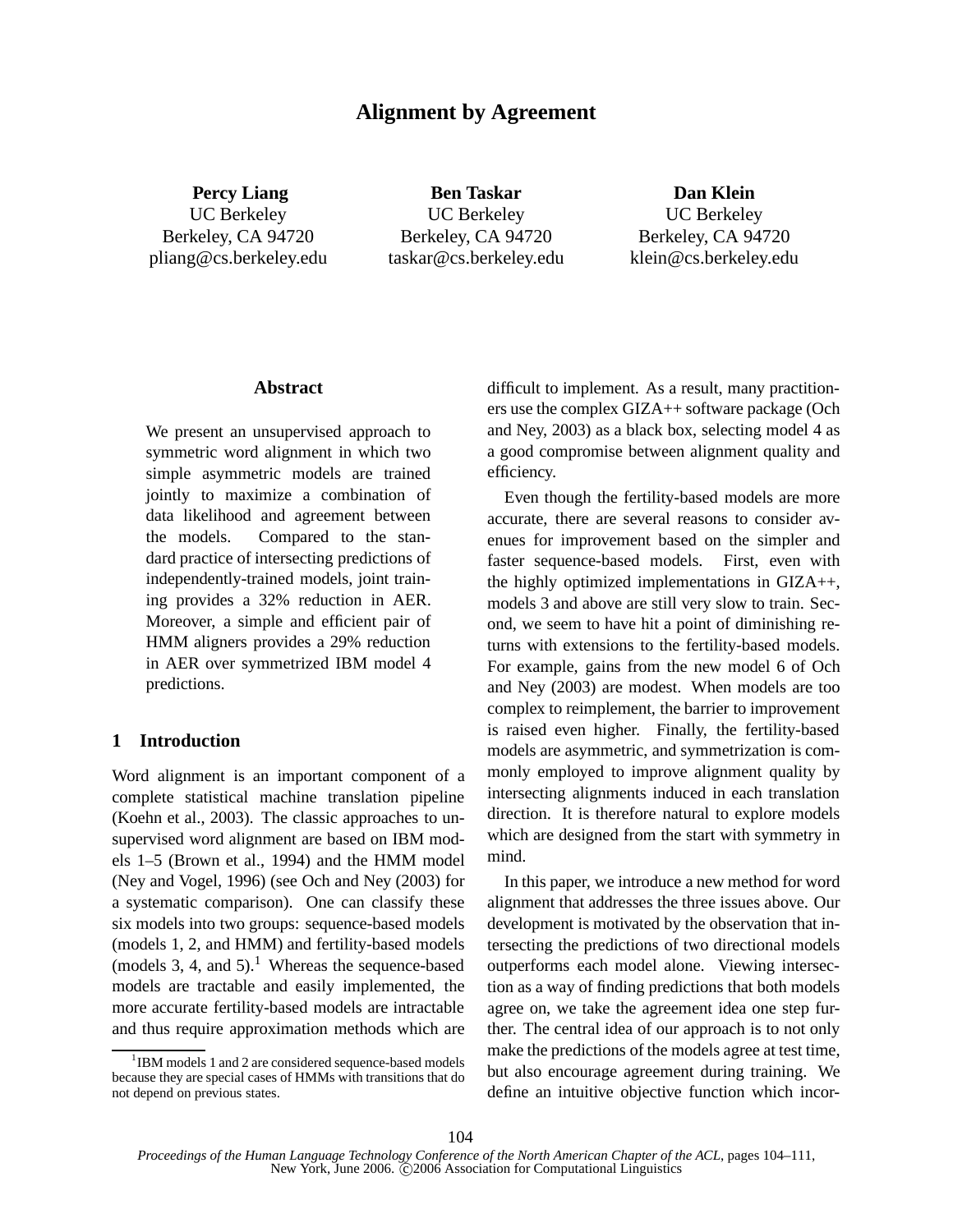# **Alignment by Agreement**

**Percy Liang** UC Berkeley Berkeley, CA 94720 pliang@cs.berkeley.edu

**Ben Taskar** UC Berkeley Berkeley, CA 94720 taskar@cs.berkeley.edu

**Dan Klein** UC Berkeley Berkeley, CA 94720 klein@cs.berkeley.edu

# **Abstract**

We present an unsupervised approach to symmetric word alignment in which two simple asymmetric models are trained jointly to maximize a combination of data likelihood and agreement between the models. Compared to the standard practice of intersecting predictions of independently-trained models, joint training provides a 32% reduction in AER. Moreover, a simple and efficient pair of HMM aligners provides a 29% reduction in AER over symmetrized IBM model 4 predictions.

# **1 Introduction**

Word alignment is an important component of a complete statistical machine translation pipeline (Koehn et al., 2003). The classic approaches to unsupervised word alignment are based on IBM models 1–5 (Brown et al., 1994) and the HMM model (Ney and Vogel, 1996) (see Och and Ney (2003) for a systematic comparison). One can classify these six models into two groups: sequence-based models (models 1, 2, and HMM) and fertility-based models (models 3, 4, and 5).<sup>1</sup> Whereas the sequence-based models are tractable and easily implemented, the more accurate fertility-based models are intractable and thus require approximation methods which are difficult to implement. As a result, many practitioners use the complex GIZA++ software package (Och and Ney, 2003) as a black box, selecting model 4 as a good compromise between alignment quality and efficiency.

Even though the fertility-based models are more accurate, there are several reasons to consider avenues for improvement based on the simpler and faster sequence-based models. First, even with the highly optimized implementations in GIZA++, models 3 and above are still very slow to train. Second, we seem to have hit a point of diminishing returns with extensions to the fertility-based models. For example, gains from the new model 6 of Och and Ney (2003) are modest. When models are too complex to reimplement, the barrier to improvement is raised even higher. Finally, the fertility-based models are asymmetric, and symmetrization is commonly employed to improve alignment quality by intersecting alignments induced in each translation direction. It is therefore natural to explore models which are designed from the start with symmetry in mind.

In this paper, we introduce a new method for word alignment that addresses the three issues above. Our development is motivated by the observation that intersecting the predictions of two directional models outperforms each model alone. Viewing intersection as a way of finding predictions that both models agree on, we take the agreement idea one step further. The central idea of our approach is to not only make the predictions of the models agree at test time, but also encourage agreement during training. We define an intuitive objective function which incor-

<sup>&</sup>lt;sup>1</sup>IBM models 1 and 2 are considered sequence-based models because they are special cases of HMMs with transitions that do not depend on previous states.

*Proceedings of the Human Language Technology Conference of the North American Chapter of the ACL*, pages 104–111, New York, June 2006. C 2006 Association for Computational Linguistics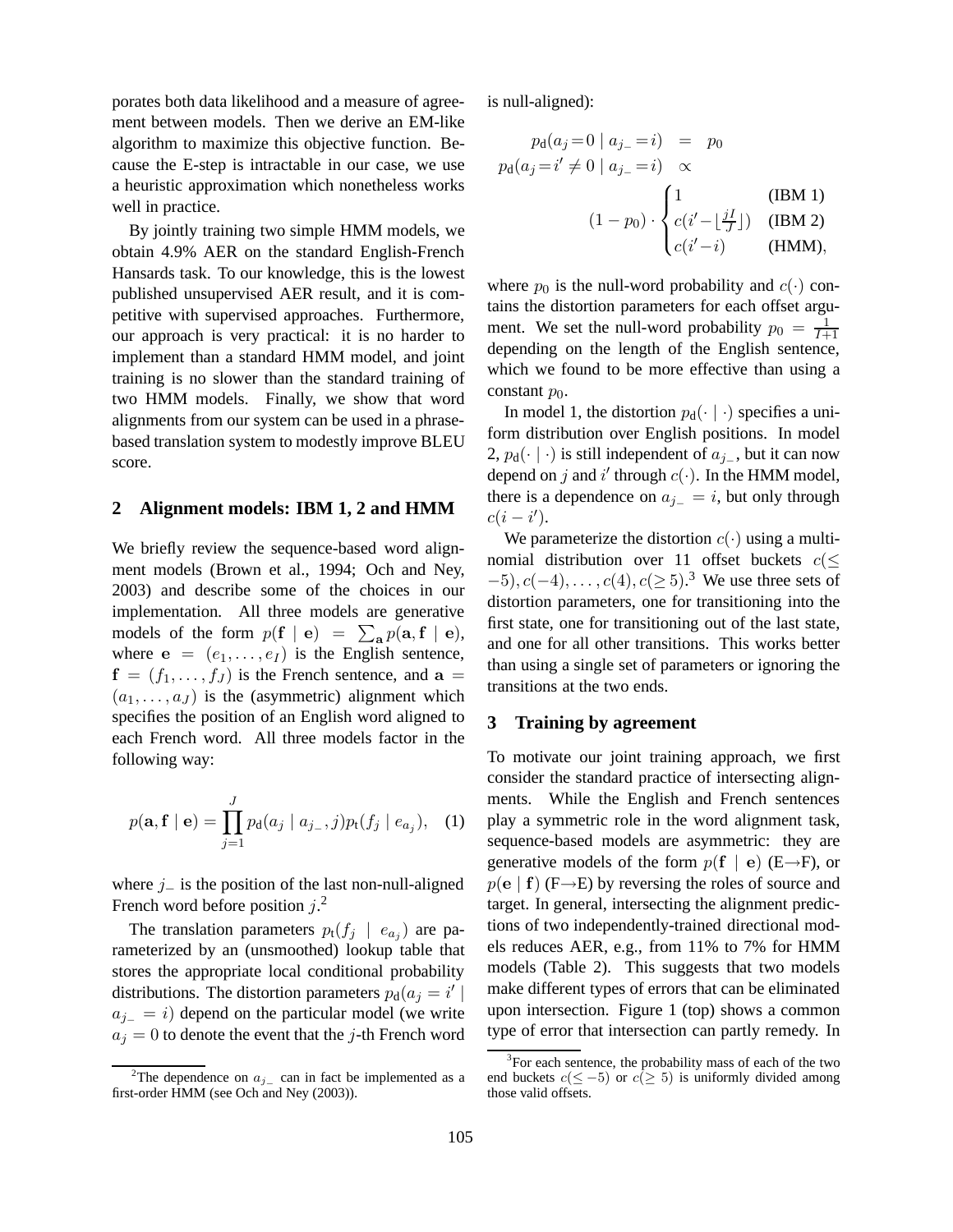porates both data likelihood and a measure of agreement between models. Then we derive an EM-like algorithm to maximize this objective function. Because the E-step is intractable in our case, we use a heuristic approximation which nonetheless works well in practice.

By jointly training two simple HMM models, we obtain 4.9% AER on the standard English-French Hansards task. To our knowledge, this is the lowest published unsupervised AER result, and it is competitive with supervised approaches. Furthermore, our approach is very practical: it is no harder to implement than a standard HMM model, and joint training is no slower than the standard training of two HMM models. Finally, we show that word alignments from our system can be used in a phrasebased translation system to modestly improve BLEU score.

## **2 Alignment models: IBM 1, 2 and HMM**

We briefly review the sequence-based word alignment models (Brown et al., 1994; Och and Ney, 2003) and describe some of the choices in our implementation. All three models are generative models of the form  $p(\mathbf{f} \mid \mathbf{e}) = \sum_{\mathbf{a}} p(\mathbf{a}, \mathbf{f} \mid \mathbf{e}),$ where  $e = (e_1, \ldots, e_I)$  is the English sentence,  $f = (f_1, \ldots, f_J)$  is the French sentence, and  $a =$  $(a_1, \ldots, a_J)$  is the (asymmetric) alignment which specifies the position of an English word aligned to each French word. All three models factor in the following way:

$$
p(\mathbf{a}, \mathbf{f} \mid \mathbf{e}) = \prod_{j=1}^{J} p_{\mathbf{d}}(a_j \mid a_{j-1}, j) p_{\mathbf{t}}(f_j \mid e_{a_j}), \quad (1)
$$

where  $j_$  is the position of the last non-null-aligned French word before position  $j^2$ .

The translation parameters  $p_t(f_j \mid e_{a_j})$  are parameterized by an (unsmoothed) lookup table that stores the appropriate local conditional probability distributions. The distortion parameters  $p_d(a_j = i')$  $a_{j-} = i$ ) depend on the particular model (we write  $a_j = 0$  to denote the event that the j-th French word is null-aligned):

$$
p_{d}(a_{j} = 0 | a_{j} = i) = p_{0}
$$
  
\n
$$
p_{d}(a_{j} = i' \neq 0 | a_{j} = i) \propto
$$
  
\n
$$
(1 - p_{0}) \cdot \begin{cases} 1 & (\text{IBM 1}) \\ c(i' - \lfloor \frac{jI}{J} \rfloor) & (\text{IBM 2}) \\ c(i' - i) & (\text{HMM}), \end{cases}
$$

where  $p_0$  is the null-word probability and  $c(\cdot)$  contains the distortion parameters for each offset argument. We set the null-word probability  $p_0 = \frac{1}{l+1}$ I+1 depending on the length of the English sentence, which we found to be more effective than using a constant  $p_0$ .

In model 1, the distortion  $p_d(\cdot | \cdot)$  specifies a uniform distribution over English positions. In model 2,  $p_d(\cdot \mid \cdot)$  is still independent of  $a_{j-}$ , but it can now depend on j and i' through  $c(\cdot)$ . In the HMM model, there is a dependence on  $a_{i-} = i$ , but only through  $c(i - i').$ 

We parameterize the distortion  $c(\cdot)$  using a multinomial distribution over 11 offset buckets  $c$ ( $\leq$  $(-5), c(-4), \ldots, c(4), c(\geq 5)$ .<sup>3</sup> We use three sets of distortion parameters, one for transitioning into the first state, one for transitioning out of the last state, and one for all other transitions. This works better than using a single set of parameters or ignoring the transitions at the two ends.

# **3 Training by agreement**

To motivate our joint training approach, we first consider the standard practice of intersecting alignments. While the English and French sentences play a symmetric role in the word alignment task, sequence-based models are asymmetric: they are generative models of the form  $p(f | e)$  (E→F), or  $p(e | f)$  (F $\rightarrow$ E) by reversing the roles of source and target. In general, intersecting the alignment predictions of two independently-trained directional models reduces AER, e.g., from 11% to 7% for HMM models (Table 2). This suggests that two models make different types of errors that can be eliminated upon intersection. Figure 1 (top) shows a common type of error that intersection can partly remedy. In

<sup>&</sup>lt;sup>2</sup>The dependence on  $a_{j-}$  can in fact be implemented as a first-order HMM (see Och and Ney (2003)).

<sup>&</sup>lt;sup>3</sup>For each sentence, the probability mass of each of the two end buckets  $c(\leq -5)$  or  $c(\geq 5)$  is uniformly divided among those valid offsets.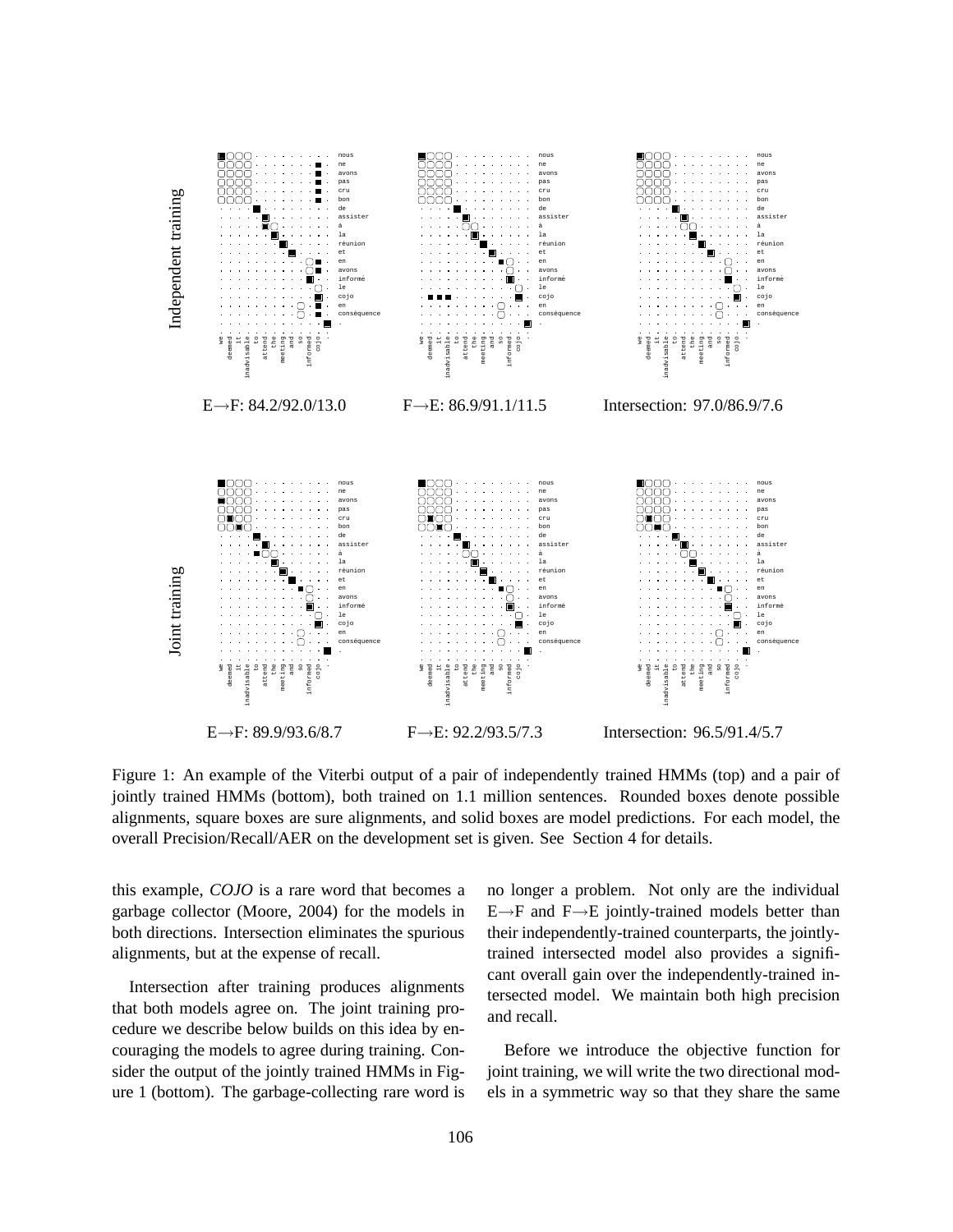

Figure 1: An example of the Viterbi output of a pair of independently trained HMMs (top) and a pair of jointly trained HMMs (bottom), both trained on 1.1 million sentences. Rounded boxes denote possible alignments, square boxes are sure alignments, and solid boxes are model predictions. For each model, the overall Precision/Recall/AER on the development set is given. See Section 4 for details.

this example, *COJO* is a rare word that becomes a garbage collector (Moore, 2004) for the models in both directions. Intersection eliminates the spurious alignments, but at the expense of recall.

Intersection after training produces alignments that both models agree on. The joint training procedure we describe below builds on this idea by encouraging the models to agree during training. Consider the output of the jointly trained HMMs in Figure 1 (bottom). The garbage-collecting rare word is no longer a problem. Not only are the individual  $E \rightarrow F$  and  $F \rightarrow E$  jointly-trained models better than their independently-trained counterparts, the jointlytrained intersected model also provides a significant overall gain over the independently-trained intersected model. We maintain both high precision and recall.

Before we introduce the objective function for joint training, we will write the two directional models in a symmetric way so that they share the same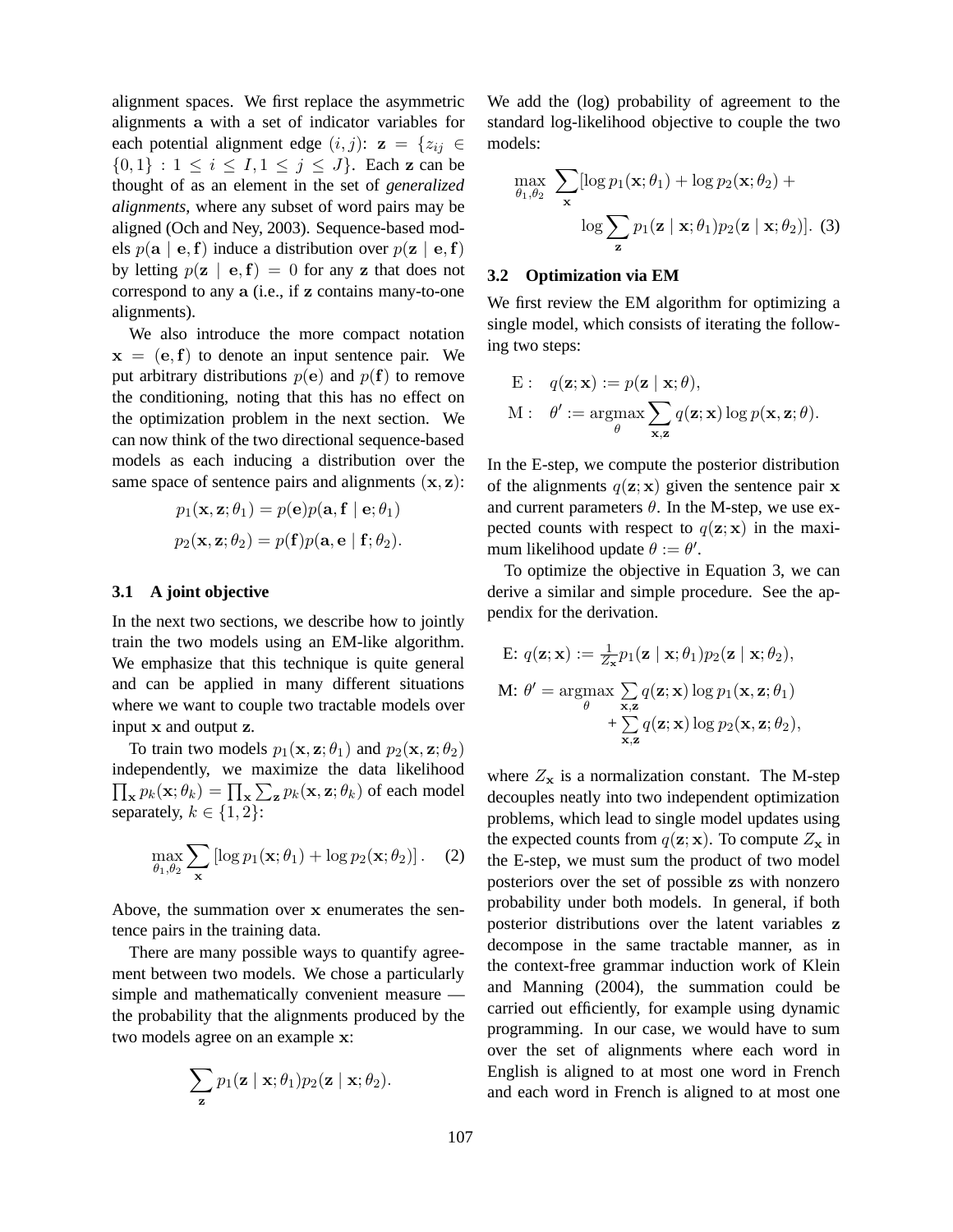alignment spaces. We first replace the asymmetric alignments a with a set of indicator variables for each potential alignment edge  $(i, j)$ :  $z = \{z_{ij} \in$  $\{0,1\} : 1 \le i \le I, 1 \le j \le J\}$ . Each z can be thought of as an element in the set of *generalized alignments*, where any subset of word pairs may be aligned (Och and Ney, 2003). Sequence-based models  $p(\mathbf{a} \mid \mathbf{e}, \mathbf{f})$  induce a distribution over  $p(\mathbf{z} \mid \mathbf{e}, \mathbf{f})$ by letting  $p(\mathbf{z} \mid \mathbf{e}, \mathbf{f}) = 0$  for any z that does not correspond to any a (i.e., if z contains many-to-one alignments).

We also introduce the more compact notation  $x = (e, f)$  to denote an input sentence pair. We put arbitrary distributions  $p(e)$  and  $p(f)$  to remove the conditioning, noting that this has no effect on the optimization problem in the next section. We can now think of the two directional sequence-based models as each inducing a distribution over the same space of sentence pairs and alignments  $(x, z)$ :

$$
p_1(\mathbf{x}, \mathbf{z}; \theta_1) = p(\mathbf{e})p(\mathbf{a}, \mathbf{f} \mid \mathbf{e}; \theta_1)
$$

$$
p_2(\mathbf{x}, \mathbf{z}; \theta_2) = p(\mathbf{f})p(\mathbf{a}, \mathbf{e} \mid \mathbf{f}; \theta_2).
$$

#### **3.1 A joint objective**

In the next two sections, we describe how to jointly train the two models using an EM-like algorithm. We emphasize that this technique is quite general and can be applied in many different situations where we want to couple two tractable models over input x and output z.

To train two models  $p_1(\mathbf{x}, \mathbf{z}; \theta_1)$  and  $p_2(\mathbf{x}, \mathbf{z}; \theta_2)$ independently, we maximize the data likelihood  $\prod_{\mathbf{x}} p_k(\mathbf{x}; \theta_k) = \prod_{\mathbf{x}} \sum_{\mathbf{z}} p_k(\mathbf{x}, \mathbf{z}; \theta_k)$  of each model separately,  $k \in \{1, 2\}$ :

$$
\max_{\theta_1, \theta_2} \sum_{\mathbf{x}} \left[ \log p_1(\mathbf{x}; \theta_1) + \log p_2(\mathbf{x}; \theta_2) \right]. \quad (2)
$$

Above, the summation over x enumerates the sentence pairs in the training data.

There are many possible ways to quantify agreement between two models. We chose a particularly simple and mathematically convenient measure the probability that the alignments produced by the two models agree on an example x:

$$
\sum_{\mathbf{z}} p_1(\mathbf{z} \mid \mathbf{x}; \theta_1) p_2(\mathbf{z} \mid \mathbf{x}; \theta_2).
$$

We add the (log) probability of agreement to the standard log-likelihood objective to couple the two models:

$$
\max_{\theta_1, \theta_2} \sum_{\mathbf{x}} [\log p_1(\mathbf{x}; \theta_1) + \log p_2(\mathbf{x}; \theta_2) + \log \sum_{\mathbf{z}} p_1(\mathbf{z} \mid \mathbf{x}; \theta_1) p_2(\mathbf{z} \mid \mathbf{x}; \theta_2)].
$$
 (3)

#### **3.2 Optimization via EM**

We first review the EM algorithm for optimizing a single model, which consists of iterating the following two steps:

E: 
$$
q(\mathbf{z}; \mathbf{x}) := p(\mathbf{z} | \mathbf{x}; \theta),
$$
  
M:  $\theta' := \underset{\theta}{\operatorname{argmax}} \sum_{\mathbf{x}, \mathbf{z}} q(\mathbf{z}; \mathbf{x}) \log p(\mathbf{x}, \mathbf{z}; \theta).$ 

In the E-step, we compute the posterior distribution of the alignments  $q(\mathbf{z}; \mathbf{x})$  given the sentence pair x and current parameters  $\theta$ . In the M-step, we use expected counts with respect to  $q(\mathbf{z}; \mathbf{x})$  in the maximum likelihood update  $\theta := \theta'$ .

To optimize the objective in Equation 3, we can derive a similar and simple procedure. See the appendix for the derivation.

E: 
$$
q(\mathbf{z}; \mathbf{x}) := \frac{1}{Z_{\mathbf{x}}} p_1(\mathbf{z} | \mathbf{x}; \theta_1) p_2(\mathbf{z} | \mathbf{x}; \theta_2),
$$
  
\nM:  $\theta' = \underset{\theta}{\operatorname{argmax}} \sum_{\mathbf{x}, \mathbf{z}} q(\mathbf{z}; \mathbf{x}) \log p_1(\mathbf{x}, \mathbf{z}; \theta_1) + \sum_{\mathbf{x}, \mathbf{z}} q(\mathbf{z}; \mathbf{x}) \log p_2(\mathbf{x}, \mathbf{z}; \theta_2),$ 

where  $Z_x$  is a normalization constant. The M-step decouples neatly into two independent optimization problems, which lead to single model updates using the expected counts from  $q(\mathbf{z}; \mathbf{x})$ . To compute  $Z_{\mathbf{x}}$  in the E-step, we must sum the product of two model posteriors over the set of possible zs with nonzero probability under both models. In general, if both posterior distributions over the latent variables z decompose in the same tractable manner, as in the context-free grammar induction work of Klein and Manning (2004), the summation could be carried out efficiently, for example using dynamic programming. In our case, we would have to sum over the set of alignments where each word in English is aligned to at most one word in French and each word in French is aligned to at most one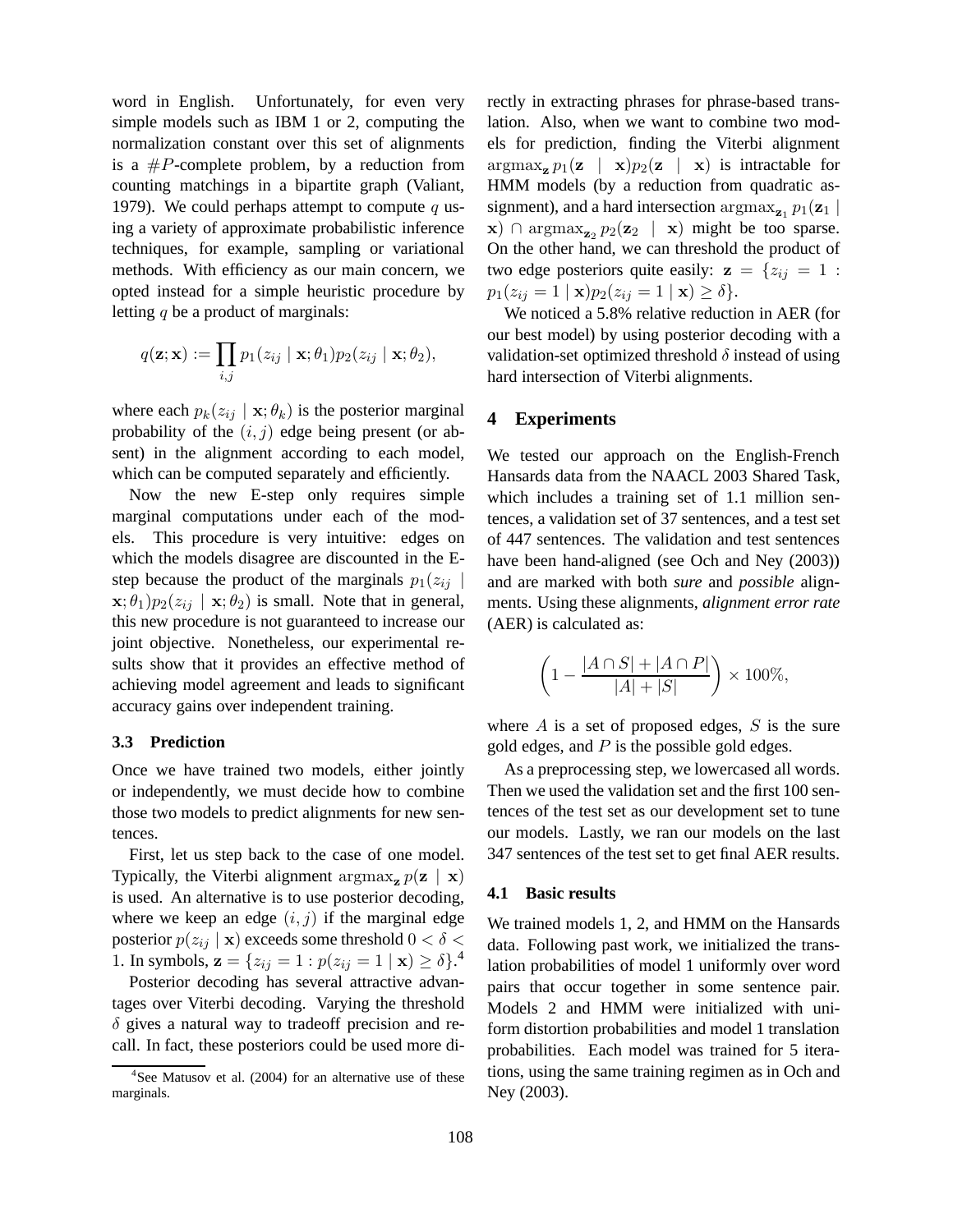word in English. Unfortunately, for even very simple models such as IBM 1 or 2, computing the normalization constant over this set of alignments is a  $\#P$ -complete problem, by a reduction from counting matchings in a bipartite graph (Valiant, 1979). We could perhaps attempt to compute q using a variety of approximate probabilistic inference techniques, for example, sampling or variational methods. With efficiency as our main concern, we opted instead for a simple heuristic procedure by letting q be a product of marginals:

$$
q(\mathbf{z}; \mathbf{x}) := \prod_{i,j} p_1(z_{ij} | \mathbf{x}; \theta_1) p_2(z_{ij} | \mathbf{x}; \theta_2),
$$

where each  $p_k(z_{ij} | \mathbf{x}; \theta_k)$  is the posterior marginal probability of the  $(i, j)$  edge being present (or absent) in the alignment according to each model, which can be computed separately and efficiently.

Now the new E-step only requires simple marginal computations under each of the models. This procedure is very intuitive: edges on which the models disagree are discounted in the Estep because the product of the marginals  $p_1(z_{ij})$  $\mathbf{x}; \theta_1$ ) $p_2(z_{ij} | \mathbf{x}; \theta_2)$  is small. Note that in general, this new procedure is not guaranteed to increase our joint objective. Nonetheless, our experimental results show that it provides an effective method of achieving model agreement and leads to significant accuracy gains over independent training.

#### **3.3 Prediction**

Once we have trained two models, either jointly or independently, we must decide how to combine those two models to predict alignments for new sentences.

First, let us step back to the case of one model. Typically, the Viterbi alignment  $\argmax_{\mathbf{z}} p(\mathbf{z} | \mathbf{x})$ is used. An alternative is to use posterior decoding, where we keep an edge  $(i, j)$  if the marginal edge posterior  $p(z_{ij} | \mathbf{x})$  exceeds some threshold  $0 < \delta <$ 1. In symbols,  $\mathbf{z} = \{z_{ij} = 1 : p(z_{ij} = 1 \mid \mathbf{x}) \ge \delta\}$ .

Posterior decoding has several attractive advantages over Viterbi decoding. Varying the threshold  $\delta$  gives a natural way to tradeoff precision and recall. In fact, these posteriors could be used more directly in extracting phrases for phrase-based translation. Also, when we want to combine two models for prediction, finding the Viterbi alignment  $\argmax_{\mathbf{z}} p_1(\mathbf{z} \mid \mathbf{x}) p_2(\mathbf{z} \mid \mathbf{x})$  is intractable for HMM models (by a reduction from quadratic assignment), and a hard intersection  $\arg\max_{\mathbf{z}_1} p_1(\mathbf{z}_1)$  $\mathbf{x}) \cap \arg\max_{\mathbf{z}_2} p_2(\mathbf{z}_2 | \mathbf{x})$  might be too sparse. On the other hand, we can threshold the product of two edge posteriors quite easily:  $z = \{z_{ij} = 1$ :  $p_1(z_{ij} = 1 | \mathbf{x}) p_2(z_{ij} = 1 | \mathbf{x}) \ge \delta$ .

We noticed a 5.8% relative reduction in AER (for our best model) by using posterior decoding with a validation-set optimized threshold  $\delta$  instead of using hard intersection of Viterbi alignments.

## **4 Experiments**

We tested our approach on the English-French Hansards data from the NAACL 2003 Shared Task, which includes a training set of 1.1 million sentences, a validation set of 37 sentences, and a test set of 447 sentences. The validation and test sentences have been hand-aligned (see Och and Ney (2003)) and are marked with both *sure* and *possible* alignments. Using these alignments, *alignment error rate* (AER) is calculated as:

$$
\left(1 - \frac{|A \cap S| + |A \cap P|}{|A| + |S|}\right) \times 100\%,
$$

where  $A$  is a set of proposed edges,  $S$  is the sure gold edges, and  $P$  is the possible gold edges.

As a preprocessing step, we lowercased all words. Then we used the validation set and the first 100 sentences of the test set as our development set to tune our models. Lastly, we ran our models on the last 347 sentences of the test set to get final AER results.

#### **4.1 Basic results**

We trained models 1, 2, and HMM on the Hansards data. Following past work, we initialized the translation probabilities of model 1 uniformly over word pairs that occur together in some sentence pair. Models 2 and HMM were initialized with uniform distortion probabilities and model 1 translation probabilities. Each model was trained for 5 iterations, using the same training regimen as in Och and Ney (2003).

<sup>&</sup>lt;sup>4</sup>See Matusov et al. (2004) for an alternative use of these marginals.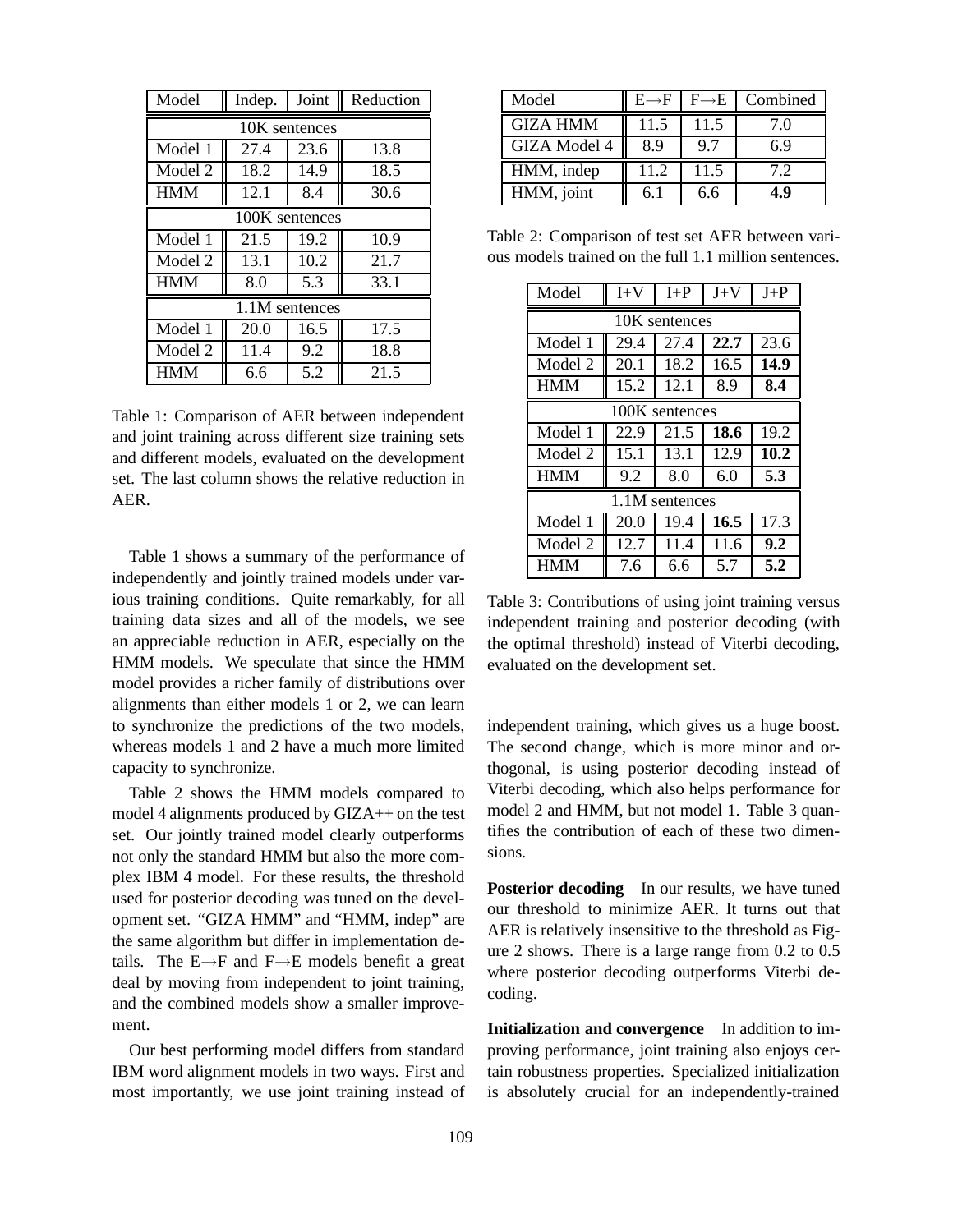| Model          | Indep. | Joint | Reduction |  |  |  |  |
|----------------|--------|-------|-----------|--|--|--|--|
| 10K sentences  |        |       |           |  |  |  |  |
| Model 1        | 27.4   | 23.6  | 13.8      |  |  |  |  |
| Model 2        | 18.2   | 14.9  | 18.5      |  |  |  |  |
| <b>HMM</b>     | 12.1   | 8.4   | 30.6      |  |  |  |  |
| 100K sentences |        |       |           |  |  |  |  |
| Model 1        | 21.5   | 19.2  | 10.9      |  |  |  |  |
| Model 2        | 13.1   | 10.2  | 21.7      |  |  |  |  |
| <b>HMM</b>     | 8.0    | 5.3   | 33.1      |  |  |  |  |
| 1.1M sentences |        |       |           |  |  |  |  |
| Model 1        | 20.0   | 16.5  | 17.5      |  |  |  |  |
| Model 2        | 11.4   | 9.2   | 18.8      |  |  |  |  |
| <b>HMM</b>     | 6.6    | 5.2   | 21.5      |  |  |  |  |

Table 1: Comparison of AER between independent and joint training across different size training sets and different models, evaluated on the development set. The last column shows the relative reduction in AER.

Table 1 shows a summary of the performance of independently and jointly trained models under various training conditions. Quite remarkably, for all training data sizes and all of the models, we see an appreciable reduction in AER, especially on the HMM models. We speculate that since the HMM model provides a richer family of distributions over alignments than either models 1 or 2, we can learn to synchronize the predictions of the two models, whereas models 1 and 2 have a much more limited capacity to synchronize.

Table 2 shows the HMM models compared to model 4 alignments produced by GIZA++ on the test set. Our jointly trained model clearly outperforms not only the standard HMM but also the more complex IBM 4 model. For these results, the threshold used for posterior decoding was tuned on the development set. "GIZA HMM" and "HMM, indep" are the same algorithm but differ in implementation details. The  $E \rightarrow F$  and  $F \rightarrow E$  models benefit a great deal by moving from independent to joint training, and the combined models show a smaller improvement.

Our best performing model differs from standard IBM word alignment models in two ways. First and most importantly, we use joint training instead of

| Model               | $E \rightarrow F$ | $F \rightarrow F$ | Combined |
|---------------------|-------------------|-------------------|----------|
| <b>GIZA HMM</b>     | 11.5              | 11.5              | 7.0      |
| <b>GIZA Model 4</b> | 8.9               | 9.7               | 6.9      |
| HMM, indep          | 11.2              | 11.5              | 7.2      |
| HMM, joint          | 6.1               | 6.6               | 4.9      |

Table 2: Comparison of test set AER between various models trained on the full 1.1 million sentences.

| Model          | $I+V$ | $I + P$ | $J+V$ | $J+P$ |  |  |  |
|----------------|-------|---------|-------|-------|--|--|--|
| 10K sentences  |       |         |       |       |  |  |  |
| Model 1        | 29.4  | 27.4    | 22.7  | 23.6  |  |  |  |
| Model 2        | 20.1  | 18.2    | 16.5  | 14.9  |  |  |  |
| <b>HMM</b>     | 15.2  | 12.1    | 8.9   | 8.4   |  |  |  |
| 100K sentences |       |         |       |       |  |  |  |
| Model 1        | 22.9  | 21.5    | 18.6  | 19.2  |  |  |  |
| Model 2        | 15.1  | 13.1    | 12.9  | 10.2  |  |  |  |
| <b>HMM</b>     | 9.2   | 8.0     | 6.0   | 5.3   |  |  |  |
| 1.1M sentences |       |         |       |       |  |  |  |
| Model 1        | 20.0  | 19.4    | 16.5  | 17.3  |  |  |  |
| Model 2        | 12.7  | 11.4    | 11.6  | 9.2   |  |  |  |
| <b>HMM</b>     | 7.6   | 6.6     | 5.7   | 5.2   |  |  |  |

Table 3: Contributions of using joint training versus independent training and posterior decoding (with the optimal threshold) instead of Viterbi decoding, evaluated on the development set.

independent training, which gives us a huge boost. The second change, which is more minor and orthogonal, is using posterior decoding instead of Viterbi decoding, which also helps performance for model 2 and HMM, but not model 1. Table 3 quantifies the contribution of each of these two dimensions.

**Posterior decoding** In our results, we have tuned our threshold to minimize AER. It turns out that AER is relatively insensitive to the threshold as Figure 2 shows. There is a large range from 0.2 to 0.5 where posterior decoding outperforms Viterbi decoding.

**Initialization and convergence** In addition to improving performance, joint training also enjoys certain robustness properties. Specialized initialization is absolutely crucial for an independently-trained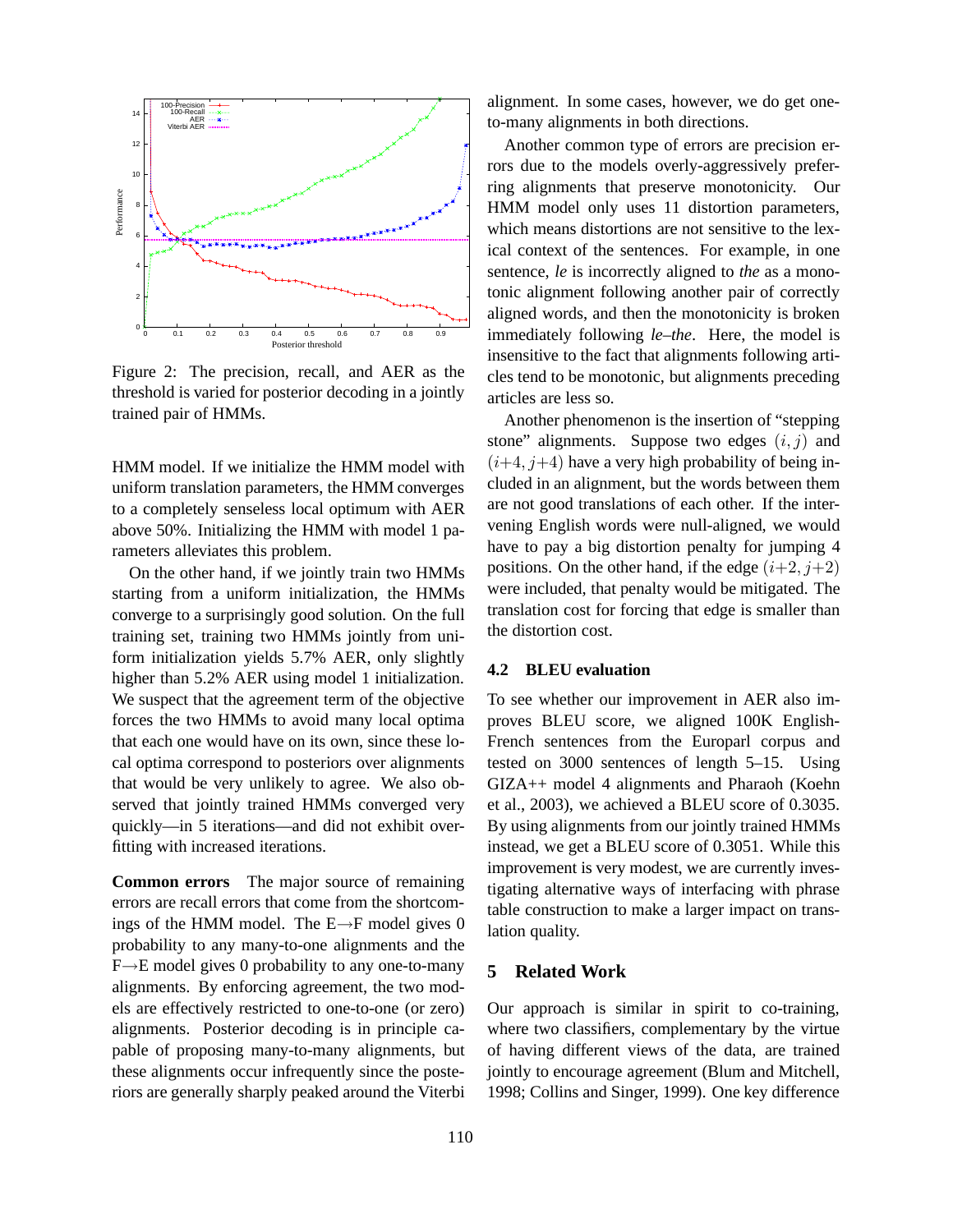

Figure 2: The precision, recall, and AER as the threshold is varied for posterior decoding in a jointly trained pair of HMMs.

HMM model. If we initialize the HMM model with uniform translation parameters, the HMM converges to a completely senseless local optimum with AER above 50%. Initializing the HMM with model 1 parameters alleviates this problem.

On the other hand, if we jointly train two HMMs starting from a uniform initialization, the HMMs converge to a surprisingly good solution. On the full training set, training two HMMs jointly from uniform initialization yields 5.7% AER, only slightly higher than 5.2% AER using model 1 initialization. We suspect that the agreement term of the objective forces the two HMMs to avoid many local optima that each one would have on its own, since these local optima correspond to posteriors over alignments that would be very unlikely to agree. We also observed that jointly trained HMMs converged very quickly—in 5 iterations—and did not exhibit overfitting with increased iterations.

**Common errors** The major source of remaining errors are recall errors that come from the shortcomings of the HMM model. The  $E \rightarrow F$  model gives 0 probability to any many-to-one alignments and the F→E model gives 0 probability to any one-to-many alignments. By enforcing agreement, the two models are effectively restricted to one-to-one (or zero) alignments. Posterior decoding is in principle capable of proposing many-to-many alignments, but these alignments occur infrequently since the posteriors are generally sharply peaked around the Viterbi alignment. In some cases, however, we do get oneto-many alignments in both directions.

Another common type of errors are precision errors due to the models overly-aggressively preferring alignments that preserve monotonicity. Our HMM model only uses 11 distortion parameters, which means distortions are not sensitive to the lexical context of the sentences. For example, in one sentence, *le* is incorrectly aligned to *the* as a monotonic alignment following another pair of correctly aligned words, and then the monotonicity is broken immediately following *le*–*the*. Here, the model is insensitive to the fact that alignments following articles tend to be monotonic, but alignments preceding articles are less so.

Another phenomenon is the insertion of "stepping stone" alignments. Suppose two edges  $(i, j)$  and  $(i+4, j+4)$  have a very high probability of being included in an alignment, but the words between them are not good translations of each other. If the intervening English words were null-aligned, we would have to pay a big distortion penalty for jumping 4 positions. On the other hand, if the edge  $(i+2, j+2)$ were included, that penalty would be mitigated. The translation cost for forcing that edge is smaller than the distortion cost.

## **4.2 BLEU evaluation**

To see whether our improvement in AER also improves BLEU score, we aligned 100K English-French sentences from the Europarl corpus and tested on 3000 sentences of length 5–15. Using GIZA++ model 4 alignments and Pharaoh (Koehn et al., 2003), we achieved a BLEU score of 0.3035. By using alignments from our jointly trained HMMs instead, we get a BLEU score of 0.3051. While this improvement is very modest, we are currently investigating alternative ways of interfacing with phrase table construction to make a larger impact on translation quality.

### **5 Related Work**

Our approach is similar in spirit to co-training, where two classifiers, complementary by the virtue of having different views of the data, are trained jointly to encourage agreement (Blum and Mitchell, 1998; Collins and Singer, 1999). One key difference